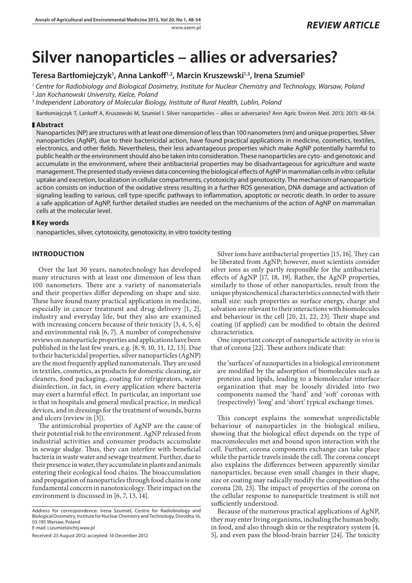# **Silver nanoparticles – allies or adversaries?**

## Teresa Bartłomiejczyk<sup>ı</sup>, Anna Lankoff<sup>1,2</sup>, Marcin Kruszewski<sup>1,3</sup>, Irena Szumiel<sup>ı</sup>

<sup>1</sup> *Centre for Radiobiology and Biological Dosimetry, Institute for Nuclear Chemistry and Technology, Warsaw, Poland*

<sup>2</sup> *Jan Kochanowski University, Kielce, Poland*

<sup>3</sup> *Independent Laboratory of Molecular Biology, Institute of Rural Health, Lublin, Poland*

Bartłomiejczyk T, Lankoff A, Kruszewski M, Szumiel I. Silver nanoparticles – allies or adversaries? Ann Agric Environ Med. 2013; 20(1): 48-54.

#### **Abstract**

Nanoparticles (NP) are structures with at least one dimension of less than 100 nanometers (nm) and unique properties. Silver nanoparticles (AgNP), due to their bactericidal action, have found practical applications in medicine, cosmetics, textiles, electronics, and other fields. Nevertheless, their less advantageous properties which make AgNP potentially harmful to public health or the environment should also be taken into consideration. These nanoparticles are cyto- and genotoxic and accumulate in the environment, where their antibacterial properties may be disadvantageous for agriculture and waste management. The presented study reviews data concerning the biological effects of AgNP in mammalian cells *in vitro*: cellular uptake and excretion, localization in cellular compartments, cytotoxicity and genotoxicity. The mechanism of nanoparticle action consists on induction of the oxidative stress resulting in a further ROS generation, DNA damage and activation of signaling leading to various, cell type-specific pathways to inflammation, apoptotic or necrotic death. In order to assure a safe application of AgNP, further detailed studies are needed on the mechanisms of the action of AgNP on mammalian cells at the molecular level.

#### **Key words**

nanoparticles, silver, cytotoxicity, genotoxicity, in vitro toxicity testing

### **INTRODUCTION**

Over the last 30 years, nanotechnology has developed many structures with at least one dimension of less than 100 nanometers. There are a variety of nanomaterials and their properties differ depending on shape and size. These have found many practical applications in medicine, especially in cancer treatment and drug delivery [1, 2], industry and everyday life, but they also are examined with increasing concern because of their toxicity [3, 4, 5, 6] and environmental risk [6, 7]. A number of comprehensive reviews on nanoparticle properties and applications have been published in the last few years, e.g. [8, 9, 10, 11, 12, 13]. Due to their bactericidal properties, silver nanoparticles (AgNP) are the most frequently applied nanomaterials. They are used in textiles, cosmetics, as products for domestic cleaning, air cleaners, food packaging, coating for refrigerators, water disinfection, in fact, in every application where bacteria may exert a harmful effect. In particular, an important use is that in hospitals and general medical practice, in medical devices, and in dressings for the treatment of wounds, burns and ulcers (review in [3]).

The antimicrobial properties of AgNP are the cause of their potential risk to the environment. AgNP released from industrial activities and consumer products accumulate in sewage sludge. Thus, they can interfere with beneficial bacteria in waste water and sewage treatment. Further, due to their presence in water, they accumulate in plants and animals entering their ecological food chains. The bioaccumulation and propagation of nanoparticles through food chains is one fundamental concern in nanotoxicology. Their impact on the environment is discussed in [6, 7, 13, 14].

Address for correspondence: Irena Szumiel, Centre for Radiobiology and Biological Dosimetry, Institute for Nuclear Chemistry and Technology, Dorodna 16, 03-195 Warsaw, Poland

E-mail: i.szumiel@ichtj.waw.pl

Received: 23 August 2012; accepted: 16 December 2012

Silver ions have antibacterial properties [15, 16]. They can be liberated from AgNP; however, most scientists consider silver ions as only partly responsible for the antibacterial effects of AgNP [17, 18, 19]. Rather, the AgNP properties, similarly to those of other nanoparticles, result from the unique physicochemical characteristics connected with their small size: such properties as surface energy, charge and solvation are relevant to their interactions with biomolecules and behaviour in the cell [20, 21, 22, 23]. Their shape and coating (if applied) can be modified to obtain the desired characteristics.

One important concept of nanoparticle activity *in vivo* is that of corona [22]. These authors indicate that:

the 'surfaces' of nanoparticles in a biological environment are modified by the adsorption of biomolecules such as proteins and lipids, leading to a biomolecular interface organization that may be loosely divided into two components named the 'hard' and 'soft' coronas with (respectively) 'long' and 'short' typical exchange times.

This concept explains the somewhat unpredictable behaviour of nanoparticles in the biological milieu, showing that the biological effect depends on the type of macromolecules met and bound upon interaction with the cell. Further, corona components exchange can take place while the particle travels inside the cell. The corona concept also explains the differences between apparently similar nanoparticles, because even small changes in their shape, size or coating may radically modify the composition of the corona [20, 23]. The impact of properties of the corona on the cellular response to nanoparticle treatment is still not sufficiently understood.

Because of the numerous practical applications of AgNP, they may enter living organisms, including the human body, in food, and also through skin or the respiratory system [4, 5], and even pass the blood-brain barrier [24]. The toxicity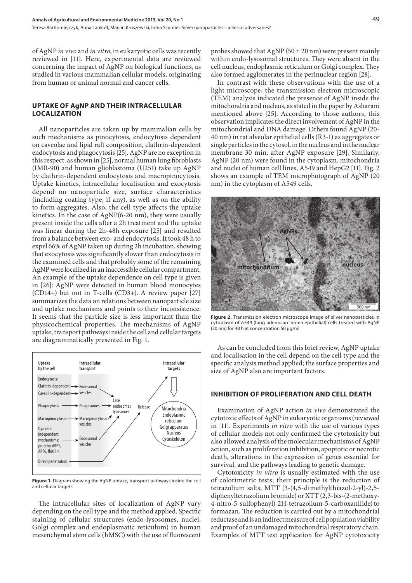of AgNP *in vivo* and *in vitro*, in eukaryotic cells was recently reviewed in [11]. Here, experimental data are reviewed concerning the impact of AgNP on biological functions, as studied in various mammalian cellular models, originating from human or animal normal and cancer cells.

#### **UPTAKE OF AgNP AND THEIR INTRACELLULAR LOCALIZATION**

All nanoparticles are taken up by mammalian cells by such mechanisms as pinocytosis, endocytosis dependent on caveolae and lipid raft composition, clathrin-dependent endocytosis and phagocytosis [25]. AgNP are no exception in this respect: as shown in [25], normal human lung fibroblasts (IMR-90) and human glioblastoma (U251) take up AgNP by clathrin-dependent endocytosis and macropinocytosis. Uptake kinetics, intracellular localisation and exocytosis depend on nanoparticle size, surface characteristics (including coating type, if any), as well as on the ability to form aggregates. Also, the cell type affects the uptake kinetics. In the case of AgNP(6-20 nm), they were usually present inside the cells after a 2h treatment and the uptake was linear during the 2h-48h exposure [25] and resulted from a balance between exo- and endocytosis. It took 48 h to expel 66% of AgNP taken up during 2h incubation, showing that exocytosis was significantly slower than endocytosis in the examined cells and that probably some of the remaining AgNP were localized in an inaccessible cellular compartment. An example of the uptake dependence on cell type is given in [26]: AgNP were detected in human blood monocytes (CD14+) but not in T-cells (CD3+). A review paper [27] summarizes the data on relations between nanoparticle size and uptake mechanisms and points to their inconsistence. It seems that the particle size is less important than the physicochemical properties. The mechanisms of AgNP uptake, transport pathways inside the cell and cellular targets are diagrammatically presented in Fig. 1.



**Figure 1.** Diagram showing the AgNP uptake, transport pathways inside the cell and cellular targets

The intracellular sites of localization of AgNP vary depending on the cell type and the method applied. Specific staining of cellular structures (endo-lysosomes, nuclei, Golgi complex and endoplasmatic reticulum) in human mesenchymal stem cells (hMSC) with the use of fluorescent probes showed that AgNP ( $50 \pm 20$  nm) were present mainly within endo-lysosomal structures. They were absent in the cell nucleus, endoplasmic reticulum or Golgi complex. They also formed agglomerates in the perinuclear region [28].

In contrast with these observations with the use of a light microscope, the transmission electron microscopic (TEM) analysis indicated the presence of AgNP inside the mitochondria and nucleus, as stated in the paper by Asharani mentioned above [25]. According to those authors, this observation implicates the direct involvement of AgNP in the mitochondrial and DNA damage. Others found AgNP (20- 40 nm) in rat alveolar epithelial cells (R3-1) as aggregates or single particles in the cytosol, in the nucleus and in the nuclear membrane 30 min. after AgNP exposure [29]. Similarly, AgNP (20 nm) were found in the cytoplasm, mitochondria and nuclei of human cell lines, A549 and HepG2 [11]. Fig. 2 shows an example of TEM microphotograph of AgNP (20 nm) in the cytoplasm of A549 cells.



**Figure 2.** Transmission electron microscope image of silver nanoparticles in cytoplasm of A549 (lung adenocarcinoma epithelial) cells treated with AgNP (20 nm) for 48 h at concentration 50 µg/ml

As can be concluded from this brief review, AgNP uptake and localisation in the cell depend on the cell type and the specific analysis method applied; the surface properties and size of AgNP also are important factors.

#### **INHIBITION OF PROLIFERATION AND CELL DEATH**

Examination of AgNP action *in vivo* demonstrated the cytotoxic effects of AgNP in eukaryotic organisms (reviewed in [11]. Experiments *in vitro* with the use of various types of cellular models not only confirmed the cytotoxicity but also allowed analysis of the molecular mechanisms of AgNP action, such as proliferation inhibition, apoptotic or necrotic death, alterations in the expression of genes essential for survival, and the pathways leading to genetic damage.

Cytotoxicity *in vitro* is usually estimated with the use of colorimetric tests; their principle is the reduction of tetrazolium salts, MTT (3-(4,5-dimethylthiazol-2-yl)-2,5 diphenyltetrazolium bromide) or XTT (2,3-bis-(2-methoxy-4-nitro-5-sulfophenyl)-2H-tetrazolium-5-carboxanilide) to formazan. The reduction is carried out by a mitochondrial reductase and is an indirect measure of cell population viability and proof of an undamaged mitochondrial respiratory chain. Examples of MTT test application for AgNP cytotoxicity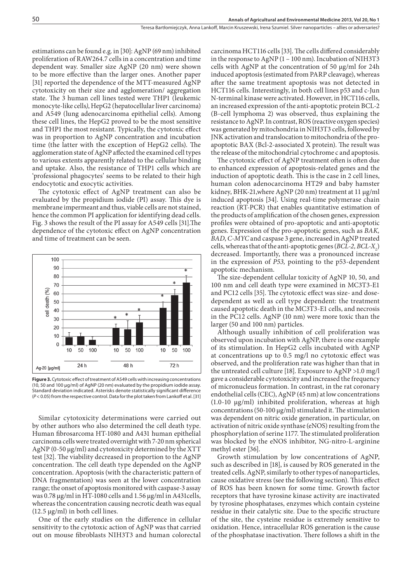estimations can be found e.g. in [30]: AgNP (69 nm) inhibited proliferation of RAW264.7 cells in a concentration and time dependent way. Smaller size AgNP (20 nm) were shown to be more effective than the larger ones. Another paper [31] reported the dependence of the MTT-measured AgNP cytotoxicity on their size and agglomeration/ aggregation state. The 3 human cell lines tested were THP1 (leukemic monocyte-like cells*)*, HepG2 (hepatocellular liver carcinoma) and A549 (lung adenocarcinoma epithelial cells). Among these cell lines, the HepG2 proved to be the most sensitive and THP1 the most resistant. Typically, the cytotoxic effect was in proportion to AgNP concentration and incubation time (the latter with the exception of HepG2 cells). The agglomeration state of AgNP affected the examined cell types to various extents apparently related to the cellular binding and uptake. Also, the resistance of THP1 cells which are 'professional phagocytes' seems to be related to their high endocytotic and exocytic activities.

The cytotoxic effect of AgNP treatment can also be evaluated by the propidium iodide (PI) assay. This dye is membrane impermeant and thus, viable cells are not stained, hence the common PI application for identifying dead cells. Fig. 3 shows the result of the PI assay for A549 cells [31].The dependence of the cytotoxic effect on AgNP concentration and time of treatment can be seen.



**Figure 3.** Cytotoxic effect of treatment of A549 cells with increasing concentrations (10, 50 and 100 µg/ml) of AgNP (20 nm) evaluated by the propidium iodide assay. Standard deviation indicated. Asterisks denote statistically significant difference (*P* < 0.05) from the respective control. Data for the plot taken from Lankoff et al. [31]

Similar cytotoxicity determinations were carried out by other authors who also determined the cell death type. Human fibrosarcoma HT-1080 and A431 human epithelial carcinoma cells were treated overnight with 7-20 nm spherical AgNP (0-50 µg/ml) and cytotoxicity determined by the XTT test [32]. The viability decreased in proportion to the AgNP concentration. The cell death type depended on the AgNP concentration. Apoptosis (with the characteristic pattern of DNA fragmentation) was seen at the lower concentration range; the onset of apoptosis monitored with caspase-3 assay was 0.78 µg/ml in HT-1080 cells and 1.56 µg/ml in A431cells, whereas the concentration causing necrotic death was equal  $(12.5 \mu g/ml)$  in both cell lines.

One of the early studies on the difference in cellular sensitivity to the cytotoxic action of AgNP was that carried out on mouse fibroblasts NIH3T3 and human colorectal carcinoma HCT116 cells [33]. The cells differed considerably in the response to AgNP (1 – 100 nm). Incubation of NIH3T3 cells with AgNP at the concentration of 50 µg/ml for 24h induced apoptosis (estimated from PARP cleavage), whereas after the same treatment apoptosis was not detected in HCT116 cells. Interestingly, in both cell lines p53 and c-Jun N-terminal kinase were activated. However, in HCT116 cells, an increased expression of the anti-apoptotic protein BCL-2 (B-cell lymphoma 2) was observed, thus explaining the resistance to AgNP. In contrast, ROS (reactive oxygen species) was generated by mitochondria in NIH3T3 cells, followed by JNK activation and translocation to mitochondria of the proapoptotic BAX (Bcl-2-associated X protein). The result was the release of the mitochondrial cytochrome c and apoptosis.

The cytotoxic effect of AgNP treatment often is often due to enhanced expression of apoptosis-related genes and the induction of apoptotic death. This is the case in 2 cell lines, human colon adenocarcinoma HT29 and baby hamster kidney, BHK-21,where AgNP (20 nm) treatment at 11 µg/ml induced apoptosis [34]. Using real-time polymerase chain reaction (RT-PCR) that enables quantitative estimation of the products of amplification of the chosen genes, expression profiles were obtained of pro-apoptotic and anti-apoptotic genes. Expression of the pro-apoptotic genes, such as *BAK, BAD*, *C-MYC* and caspase 3 gene, increased in AgNP treated cells, whereas that of the anti-apoptotic genes (*BCL-2*, *BCL-X*<sub>L</sub>) decreased. Importantly, there was a pronounced increase in the expression of *P53,* pointing to the p53-dependent apoptotic mechanism.

The size-dependent cellular toxicity of AgNP 10, 50, and 100 nm and cell death type were examined in MC3T3-E1 and PC12 cells [35]. The cytotoxic effect was size- and dosedependent as well as cell type dependent: the treatment caused apoptotic death in the MC3T3-E1 cells, and necrosis in the PC12 cells. AgNP (10 nm) were more toxic than the larger (50 and 100 nm) particles.

Although usually inhibition of cell proliferation was observed upon incubation with AgNP, there is one example of its stimulation. In HepG2 cells incubated with AgNP at concentrations up to 0.5 mg/l no cytotoxic effect was observed, and the proliferation rate was higher than that in the untreated cell culture [18]. Exposure to AgNP >1.0 mg/l gave a considerable cytotoxicity and increased the frequency of micronucleus formation. In contrast, in the rat coronary endothelial cells (CEC), AgNP (45 nm) at low concentrations (1.0-10 µg/ml) inhibited proliferation, whereas at high concentrations (50-100 µg/ml) stimulated it. The stimulation was dependent on nitric oxide generation, in particular, on activation of nitric oxide synthase (eNOS) resulting from the phosphorylation of serine 1177. The stimulated proliferation was blocked by the eNOS inhibitor, NG-nitro-L-arginine methyl ester [36].

Growth stimulation by low concentrations of AgNP, such as described in [18], is caused by ROS generated in the treated cells. AgNP, similarly to other types of nanoparticles, cause oxidative stress (see the following section). This effect of ROS has been known for some time. Growth factor receptors that have tyrosine kinase activity are inactivated by tyrosine phosphatases, enzymes which contain cysteine residue in their catalytic site. Due to the specific structure of the site, the cysteine residue is extremely sensitive to oxidation. Hence, intracellular ROS generation is the cause of the phosphatase inactivation. There follows a shift in the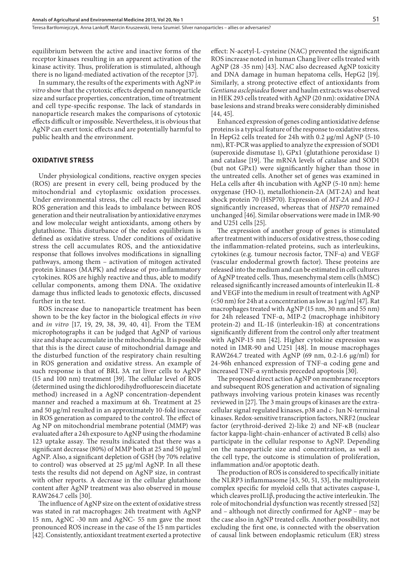Teresa Bartłomiejczyk, Anna Lankoff, Marcin Kruszewski, Irena Szumiel . Silver nanoparticles – allies or adversaries?

equilibrium between the active and inactive forms of the receptor kinases resulting in an apparent activation of the kinase activity. Thus, proliferation is stimulated, although there is no ligand-mediated activation of the receptor [37].

In summary, the results of the experiments with AgNP *in vitro* show that the cytotoxic effects depend on nanoparticle size and surface properties, concentration, time of treatment and cell type-specific response. The lack of standards in nanoparticle research makes the comparisons of cytotoxic effects difficult or impossible. Nevertheless, it is obvious that AgNP can exert toxic effects and are potentially harmful to public health and the environment.

#### **OXIDATIVE STRESS**

Under physiological conditions, reactive oxygen species (ROS) are present in every cell, being produced by the mitochondrial and cytoplasmic oxidation processes. Under environmental stress, the cell reacts by increased ROS generation and this leads to imbalance between ROS generation and their neutralisation by antioxidative enzymes and low molecular weight antioxidants, among others by glutathione. This disturbance of the redox equilibrium is defined as oxidative stress. Under conditions of oxidative stress the cell accumulates ROS, and the antioxidative response that follows involves modifications in signalling pathways, among them – activation of mitogen activated protein kinases (MAPK) and release of pro-inflammatory cytokines. ROS are highly reactive and thus, able to modify cellular components, among them DNA. The oxidative damage thus inflicted leads to genotoxic effects, discussed further in the text.

ROS increase due to nanoparticle treatment has been shown to be the key factor in the biological effects *in vivo* and *in vitro* [17, 19, 29, 38, 39, 40, 41]. From the TEM microphotographs it can be judged that AgNP of various size and shape accumulate in the mitochondria. It is possible that this is the direct cause of mitochondrial damage and the disturbed function of the respiratory chain resulting in ROS generation and oxidative stress. An example of such response is that of BRL 3A rat liver cells to AgNP (15 and 100 nm) treatment [39]. The cellular level of ROS (determined using the dichlorodihydrofluorescein diacetate method) increased in a AgNP concentration-dependent manner and reached a maximum at 6h. Treatment at 25 and 50 µg/ml resulted in an approximately 10-fold increase in ROS generation as compared to the control. The effect of Ag NP on mitochondrial membrane potential (MMP) was evaluated after a 24h exposure to AgNP using the rhodamine 123 uptake assay. The results indicated that there was a significant decrease (80%) of MMP both at 25 and 50 µg/ml AgNP. Also, a significant depletion of GSH (by 70% relative to control) was observed at 25 µg/ml AgNP. In all these tests the results did not depend on AgNP size, in contrast with other reports. A decrease in the cellular glutathione content after AgNP treatment was also observed in mouse RAW264.7 cells [30].

The influence of AgNP size on the extent of oxidative stress was stated in rat macrophages: 24h treatment with AgNP 15 nm, AgNC -30 nm and AgNC- 55 nm gave the most pronounced ROS increase in the case of the 15 nm particles [42]. Consistently, antioxidant treatment exerted a protective effect: N-acetyl-L-cysteine (NAC) prevented the significant ROS increase noted in human Chang liver cells treated with AgNP (28 -35 nm) [43]. NAC also decreased AgNP toxicity and DNA damage in human hepatoma cells, HepG2 [19]. Similarly, a strong protective effect of antioxidants from *Gentiana asclepiadea* flower and haulm extracts was observed in HEK 293 cells treated with AgNP (20 nm): oxidative DNA base lesions and strand breaks were considerably diminished [44, 45].

Enhanced expression of genes coding antioxidative defense proteins is a typical feature of the response to oxidative stress. In HepG2 cells treated for 24h with 0.2 µg/ml AgNP (5-10 nm), RT-PCR was applied to analyze the expression of SOD1 (superoxide dismutase 1), GPx1 (glutathione peroxidase 1) and catalase [19]. The mRNA levels of catalase and SOD1 (but not GPx1) were significantly higher than those in the untreated cells. Another set of genes was examined in HeLa cells after 4h incubation with AgNP (5-10 nm): heme oxygenase (HO-1), metallothionein-2A (MT-2A) and heat shock protein 70 (HSP70). Expression of *MT-2A* and *HO-1*  significantly increased, whereas that of *HSP70* remained unchanged [46]. Similar observations were made in IMR-90 and U251 cells [25].

The expression of another group of genes is stimulated after treatment with inducers of oxidative stress, those coding the inflammation-related proteins, such as interleukins, cytokines (e.g. tumour necrosis factor, TNF-α) and VEGF (vascular endodermal growth factor). These proteins are released into the medium and can be estimated in cell cultures of AgNP treated cells. Thus, mesenchymal stem cells (hMSC) released significantly increased amounts of interleukin IL-8 and VEGF into the medium in result of treatment with AgNP  $(<50 \text{ nm}$ ) for 24h at a concentration as low as 1  $\mu$ g/ml [47]. Rat macrophages treated with AgNP (15 nm, 30 nm and 55 nm) for 24h released TNF-α, MIP-2 (macrophage inhibitory protein-2) and IL-1ß (interleukin-1ß) at concentrations significantly different from the control only after treatment with AgNP-15 nm [42]. Higher cytokine expression was noted in IMR-90 and U251 [48]. In mouse macrophages RAW264.7 treated with AgNP (69 nm, 0.2-1.6 µg/ml) for 24-96h enhanced expression of TNF-α coding gene and increased TNF-α synthesis preceded apoptosis [30].

The proposed direct action AgNP on membrane receptors and subsequent ROS generation and activation of signaling pathways involving various protein kinases was recently reviewed in [27]. The 3 main groups of kinases are the extracellular signal regulated kinases, p38 and c- Jun N-terminal kinases. Redox-sensitive transcription factors, NRF2 (nuclear factor (erythroid-derived 2)-like 2) and NF-κB (nuclear factor kappa-light-chain-enhancer of activated B cells) also participate in the cellular response to AgNP. Depending on the nanoparticle size and concentration, as well as the cell type, the outcome is stimulation of proliferation, inflammation and/or apoptotic death.

The production of ROS is considered to specifically initiate the NLRP3 inflammasome [43, 50, 51, 53], the multiprotein complex specific for myeloid cells that activates caspase-1, which cleaves proIL1β, producing the active interleukin. The role of mitochondrial dysfunction was recently stressed [52] and – although not directly confirmed for AgNP – may be the case also in AgNP treated cells. Another possibility, not excluding the first one, is connected with the observation of causal link between endoplasmic reticulum (ER) stress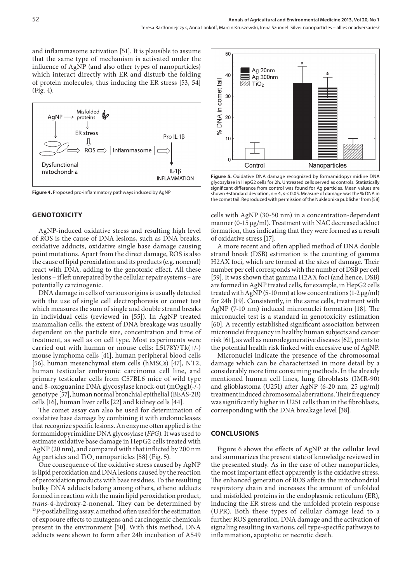and inflammasome activation [51]. It is plausible to assume that the same type of mechanism is activated under the influence of AgNP (and also other types of nanoparticles) which interact directly with ER and disturb the folding of protein molecules, thus inducing the ER stress [53, 54] (Fig. 4).



**Figure 4.** Proposed pro-inflammatory pathways induced by AgNP

#### **GENOTOXICITY**

AgNP-induced oxidative stress and resulting high level of ROS is the cause of DNA lesions, such as DNA breaks, oxidative adducts, oxidative single base damage causing point mutations. Apart from the direct damage, ROS is also the cause of lipid peroxidation and its products (e.g. nonenal) react with DNA, adding to the genotoxic effect. All these lesions – if left unrepaired by the cellular repair systems – are potentially carcinogenic.

DNA damage in cells of various origins is usually detected with the use of single cell electrophoresis or comet test which measures the sum of single and double strand breaks in individual cells (reviewed in [55]). In AgNP treated mammalian cells, the extent of DNA breakage was usually dependent on the particle size, concentration and time of treatment, as well as on cell type. Most experiments were carried out with human or mouse cells: L5178Y/Tk(+/-) mouse lymphoma cells [41], human peripheral blood cells [56], human mesenchymal stem cells (hMSCs) [47], NT2, human testicular embryonic carcinoma cell line, and primary testicular cells from C57BL6 mice of wild type and 8-oxoguanine DNA glycosylase knock-out (mOgg1(-/-) genotype [57], human normal bronchial epithelial (BEAS-2B) cells [16], human liver cells [22] and kidney cells [44].

The comet assay can also be used for determination of oxidative base damage by combining it with endonucleases that recognize specific lesions. An enzyme often applied is the formamidopyrimidine DNA glycosylase (*FPG*)*.* It was used to estimate oxidative base damage in HepG2 cells treated with AgNP (20 nm), and compared with that inflicted by 200 nm Ag particles and TiO<sub>2</sub> nanoparticles [58] (Fig. 5).

One consequence of the oxidative stress caused by AgNP is lipid peroxidation and DNA lesions caused by the reaction of peroxidation products with base residues. To the resulting bulky DNA adducts belong among others, etheno adducts formed in reaction with the main lipid peroxidation product, *trans*-4-hydroxy-2-nonenal. They can be determined by <sup>32</sup>P-postlabelling assay, a method often used for the estimation of exposure effects to mutagens and carcinogenic chemicals present in the environment [50]. With this method, DNA adducts were shown to form after 24h incubation of A549



**Figure 5.** Oxidative DNA damage recognized by formamidopyrimidine DNA glycosylase in HepG2 cells for 2h. Untreated cells served as controls. Statistically significant difference from control was found for Ag particles. Mean values are shown ±standard deviation, n = 4, *p* < 0.05. Measure of damage was the % DNA in the comet tail. Reproduced with permission of the Nukleonika publisher from [58]

cells with AgNP (30-50 nm) in a concentration-dependent manner (0-15 μg/ml). Treatment with NAC decreased adduct formation, thus indicating that they were formed as a result of oxidative stress [17].

A more recent and often applied method of DNA double strand break (DSB) estimation is the counting of gamma H2AX foci, which are formed at the sites of damage. Their number per cell corresponds with the number of DSB per cell [59]. It was shown that gamma H2AX foci (and hence, DSB) are formed in AgNP treated cells, for example, in HepG2 cells treated with AgNP (5-10 nm) at low concentrations  $(1-2 \mu g/ml)$ for 24h [19]. Consistently, in the same cells, treatment with AgNP (7-10 nm) induced micronuclei formation [18]. The micronuclei test is a standard in genotoxicity estimation [60]. A recently established significant association between micronuclei frequency in healthy human subjects and cancer risk [61], as well as neurodegenerative diseases [62], points to the potential health risk linked with excessive use of AgNP.

Micronuclei indicate the presence of the chromosomal damage which can be characterized in more detail by a considerably more time consuming methods. In the already mentioned human cell lines, lung fibroblasts (IMR-90) and glioblastoma (U251) after AgNP (6-20 nm, 25 µg/ml) treatment induced chromosomal aberrations. Their frequency was significantly higher in U251 cells than in the fibroblasts, corresponding with the DNA breakage level [38].

#### **CONCLUSIONS**

Figure 6 shows the effects of AgNP at the cellular level and summarizes the present state of knowledge reviewed in the presented study. As in the case of other nanoparticles, the most important effect apparently is the oxidative stress. The enhanced generation of ROS affects the mitochondrial respiratory chain and increases the amount of unfolded and misfolded proteins in the endoplasmic reticulum (ER), inducing the ER stress and the unfolded protein response (UPR). Both these types of cellular damage lead to a further ROS generation, DNA damage and the activation of signaling resulting in various, cell type-specific pathways to inflammation, apoptotic or necrotic death.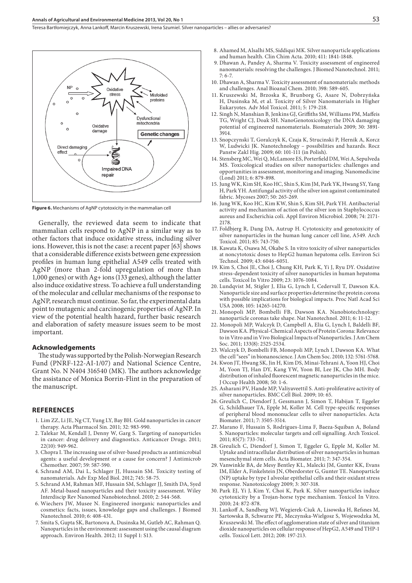Teresa Bartłomiejczyk, Anna Lankoff, Marcin Kruszewski, Irena Szumiel . Silver nanoparticles – allies or adversaries?



**Figure 6.** Mechanisms of AgNP cytotoxicity in the mammalian cell

Generally, the reviewed data seem to indicate that mammalian cells respond to AgNP in a similar way as to other factors that induce oxidative stress, including silver ions. However, this is not the case: a recent paper [63] shows that a considerable difference exists between gene expression profiles in human lung epithelial A549 cells treated with AgNP (more than 2-fold upregulation of more than 1,000 genes) or with Ag+ ions (133 genes), although the latter also induce oxidative stress. To achieve a full understanding of the molecular and cellular mechanisms of the response to AgNP, research must continue. So far, the experimental data point to mutagenic and carcinogenic properties of AgNP. In view of the potential health hazard, further basic research and elaboration of safety measure issues seem to be most important.

#### **Acknowledgements**

The study was supported by the Polish-Norwegian Research Fund (PNRF-122-AI-1/07) and National Science Centre, Grant No. N N404 316540 (MK). The authors acknowledge the assistance of Monica Borrin-Flint in the preparation of the manuscript.

#### **REFERENCES**

- 1. Lim ZZ, Li JE, Ng CT, Yung LY, Bay BH. Gold nanoparticles in cancer therapy. Acta Pharmacol Sin. 2011; 32: 983-990.
- 2. Talekar M, Kendall J, Denny W, Garg S. Targeting of nanoparticles in cancer: drug delivery and diagnostics. Anticancer Drugs. 2011; 22(10): 949-962.
- 3. Chopra I. The increasing use of silver-based products as antimicrobial agents: a useful development or a cause for concern? J Antimicrob Chemother. 2007; 59: 587-590.
- 4. Schrand AM, Dai L, Schlager JJ, Hussain SM. Toxicity testing of nanomaterials. Adv Exp Med Biol. 2012; 745: 58-75.
- 5. Schrand AM, Rahman MF, Hussain SM, Schlager JJ, Smith DA, Syed AF. Metal-based nanoparticles and their toxicity assessment. Wiley Interdiscip Rev Nanomed Nanobiotechnol. 2010; 2: 544-568.
- 6. Wiechers JW, Musee N. Engineered inorganic nanoparticles and cosmetics: facts, issues, knowledge gaps and challenges. J Biomed Nanotechnol. 2010; 6: 408-431.
- 7. Smita S, Gupta SK, Bartonova A, Dusinska M, Gutleb AC, Rahman Q. Nanoparticles in the environment: assessment using the causal diagram approach. Environ Health. 2012; 11 Suppl 1: S13.
- 8. Ahamed M, Alsalhi MS, Siddiqui MK. Silver nanoparticle applications and human health. Clin Chim Acta. 2010; 411: 1841-1848.
- 9. Dhawan A, Pandey A, Sharma V. Toxicity assessment of engineered nanomaterials: resolving the challenges. J Biomed Nanotechnol. 2011; 7: 6-7.
- 10. Dhawan A, Sharma V. Toxicity assessment of nanomaterials: methods and challenges. Anal Bioanal Chem. 2010; 398: 589-605.
- 11. Kruszewski M, Brzoska K, Brunborg G, Asare N, Dobrzyńska H, Dusinska M, et al. Toxicity of Silver Nanomaterials in Higher Eukaryotes. Adv Mol Toxicol. 2011; 5: 179-218.
- 12. Singh N, Manshian B, Jenkins GJ, Griffiths SM, Williams PM, Maffeis TG, Wright CJ, Doak SH. NanoGenotoxicology: the DNA damaging potential of engineered nanomaterials. Biomaterials 2009; 30: 3891- 3914.
- 13. Snopczynski T, Goralczyk K, Czaja K, Strucinski P, Hernik A, Korcz W, Ludwicki JK. Nanotechnology – possibilities and hazards. Rocz Panstw Zakl Hig. 2009; 60: 101-111 (in Polish).
- 14. Stensberg MC, Wei Q, McLamore ES, Porterfield DM, Wei A, Sepulveda MS. Toxicological studies on silver nanoparticles: challenges and opportunities in assessment, monitoring and imaging. Nanomedicine (Lond) 2011; 6: 879-898.
- 15. Jung WK, Kim SH, Koo HC, Shin S, Kim JM, Park YK, Hwang SY, Yang H, Park YH. Antifungal activity of the silver ion against contaminated fabric. Mycoses 2007; 50: 265-269.
- 16. Jung WK, Koo HC, Kim KW, Shin S, Kim SH, Park YH. Antibacterial activity and mechanism of action of the silver ion in Staphylococcus aureus and Escherichia coli. Appl Environ Microbiol. 2008; 74: 2171- 2178.
- 17. Foldbjerg R, Dang DA, Autrup H. Cytotoxicity and genotoxicity of silver nanoparticles in the human lung cancer cell line, A549. Arch Toxicol. 2011; 85: 743-750.
- 18. Kawata K, Osawa M, Okabe S. In vitro toxicity of silver nanoparticles at noncytotoxic doses to HepG2 human hepatoma cells. Environ Sci Technol. 2009; 43: 6046-6051.
- 19. Kim S, Choi JE, Choi J, Chung KH, Park K, Yi J, Ryu DY. Oxidative stress-dependent toxicity of silver nanoparticles in human hepatoma cells. Toxicol In Vitro 2009; 23: 1076-1084.
- 20. Lundqvist M, Stigler J, Elia G, Lynch I, Cedervall T, Dawson KA. Nanoparticle size and surface properties determine the protein corona with possible implications for biological impacts. Proc Natl Acad Sci USA 2008; 105: 14265-14270.
- 21. Monopoli MP, Bombelli FB, Dawson KA. Nanobiotechnology: nanoparticle coronas take shape. Nat Nanotechnol. 2011; 6: 11-12.
- 22. Monopoli MP, Walczyk D, Campbell A, Elia G, Lynch I, Baldelli BF, Dawson KA. Physical-Chemical Aspects of Protein Corona: Relevance to in Vitro and in Vivo Biological Impacts of Nanoparticles. J Am Chem Soc. 2011; 133(8): 2525-2534.
- 23. Walczyk D, Bombelli FB, Monopoli MP, Lynch I, Dawson KA. What the cell "sees" in bionanoscience. J Am Chem Soc. 2010; 132: 5761-5768.
- 24. Kwon JT, Hwang SK, Jin H, Kim DS, Minai-Tehrani A, Yoon HJ, Choi M, Yoon TJ, Han DY, Kang YW, Yoon BI, Lee JK, Cho MH. Body distribution of inhaled fluorescent magnetic nanoparticles in the mice. J Occup Health 2008; 50: 1-6.
- 25. Asharani PV, Hande MP, Valiyaveettil S. Anti-proliferative activity of silver nanoparticles. BMC Cell Biol. 2009; 10: 65.
- 26. Greulich C, Diendorf J, Gessmann J, Simon T, Habijan T, Eggeler G, Schildhauer TA, Epple M, Koller M. Cell type-specific responses of peripheral blood mononuclear cells to silver nanoparticles. Acta Biomater. 2011; 7: 3505-3514.
- 27. Marano F, Hussain S, Rodrigues-Lima F, Baeza-Squiban A, Boland S. Nanoparticles: molecular targets and cell signalling. Arch Toxicol. 2011; 85(7): 733-741.
- 28. Greulich C, Diendorf J, Simon T, Eggeler G, Epple M, Koller M. Uptake and intracellular distribution of silver nanoparticles in human mesenchymal stem cells. Acta Biomater. 2011; 7: 347-354.
- 29. Vanwinkle BA, de Mesy Bentley KL, Malecki JM, Gunter KK, Evans IM, Elder A, Finkelstein JN, Oberdorster G, Gunter TE. Nanoparticle (NP) uptake by type I alveolar epithelial cells and their oxidant stress response. Nanotoxicology 2009; 3: 307-318.
- 30. Park EJ, Yi J, Kim Y, Choi K, Park K. Silver nanoparticles induce cytotoxicity by a Trojan-horse type mechanism. Toxicol In Vitro. 2010; 24: 872-878.
- 31. Lankoff A, Sandberg WJ, Wegierek-Ciuk A, Lisowska H, Refsnes M, Sartowska B, Schwarze PE, Meczynska-Wielgosz S, Wojewodzka M, Kruszewski M. The effect of agglomeration state of silver and titanium dioxide nanoparticles on cellular response of HepG2, A549 and THP-1 cells. Toxicol Lett. 2012; 208: 197-213.